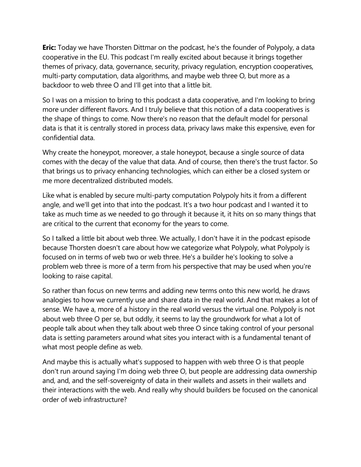**Eric:** Today we have Thorsten Dittmar on the podcast, he's the founder of Polypoly, a data cooperative in the EU. This podcast I'm really excited about because it brings together themes of privacy, data, governance, security, privacy regulation, encryption cooperatives, multi-party computation, data algorithms, and maybe web three O, but more as a backdoor to web three O and I'll get into that a little bit.

So I was on a mission to bring to this podcast a data cooperative, and I'm looking to bring more under different flavors. And I truly believe that this notion of a data cooperatives is the shape of things to come. Now there's no reason that the default model for personal data is that it is centrally stored in process data, privacy laws make this expensive, even for confidential data.

Why create the honeypot, moreover, a stale honeypot, because a single source of data comes with the decay of the value that data. And of course, then there's the trust factor. So that brings us to privacy enhancing technologies, which can either be a closed system or me more decentralized distributed models.

Like what is enabled by secure multi-party computation Polypoly hits it from a different angle, and we'll get into that into the podcast. It's a two hour podcast and I wanted it to take as much time as we needed to go through it because it, it hits on so many things that are critical to the current that economy for the years to come.

So I talked a little bit about web three. We actually, I don't have it in the podcast episode because Thorsten doesn't care about how we categorize what Polypoly, what Polypoly is focused on in terms of web two or web three. He's a builder he's looking to solve a problem web three is more of a term from his perspective that may be used when you're looking to raise capital.

So rather than focus on new terms and adding new terms onto this new world, he draws analogies to how we currently use and share data in the real world. And that makes a lot of sense. We have a, more of a history in the real world versus the virtual one. Polypoly is not about web three O per se, but oddly, it seems to lay the groundwork for what a lot of people talk about when they talk about web three O since taking control of your personal data is setting parameters around what sites you interact with is a fundamental tenant of what most people define as web.

And maybe this is actually what's supposed to happen with web three O is that people don't run around saying I'm doing web three O, but people are addressing data ownership and, and, and the self-sovereignty of data in their wallets and assets in their wallets and their interactions with the web. And really why should builders be focused on the canonical order of web infrastructure?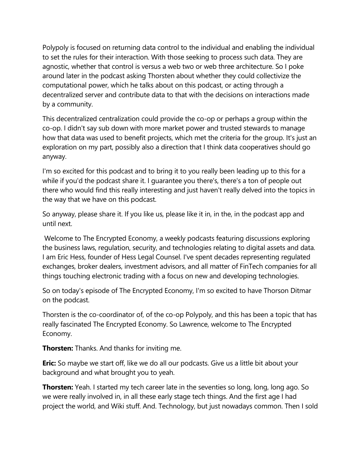Polypoly is focused on returning data control to the individual and enabling the individual to set the rules for their interaction. With those seeking to process such data. They are agnostic, whether that control is versus a web two or web three architecture. So I poke around later in the podcast asking Thorsten about whether they could collectivize the computational power, which he talks about on this podcast, or acting through a decentralized server and contribute data to that with the decisions on interactions made by a community.

This decentralized centralization could provide the co-op or perhaps a group within the co-op. I didn't say sub down with more market power and trusted stewards to manage how that data was used to benefit projects, which met the criteria for the group. It's just an exploration on my part, possibly also a direction that I think data cooperatives should go anyway.

I'm so excited for this podcast and to bring it to you really been leading up to this for a while if you'd the podcast share it. I guarantee you there's, there's a ton of people out there who would find this really interesting and just haven't really delved into the topics in the way that we have on this podcast.

So anyway, please share it. If you like us, please like it in, in the, in the podcast app and until next.

Welcome to The Encrypted Economy, a weekly podcasts featuring discussions exploring the business laws, regulation, security, and technologies relating to digital assets and data. I am Eric Hess, founder of Hess Legal Counsel. I've spent decades representing regulated exchanges, broker dealers, investment advisors, and all matter of FinTech companies for all things touching electronic trading with a focus on new and developing technologies.

So on today's episode of The Encrypted Economy, I'm so excited to have Thorson Ditmar on the podcast.

Thorsten is the co-coordinator of, of the co-op Polypoly, and this has been a topic that has really fascinated The Encrypted Economy. So Lawrence, welcome to The Encrypted Economy.

**Thorsten:** Thanks. And thanks for inviting me.

**Eric:** So maybe we start off, like we do all our podcasts. Give us a little bit about your background and what brought you to yeah.

**Thorsten:** Yeah. I started my tech career late in the seventies so long, long, long ago. So we were really involved in, in all these early stage tech things. And the first age I had project the world, and Wiki stuff. And. Technology, but just nowadays common. Then I sold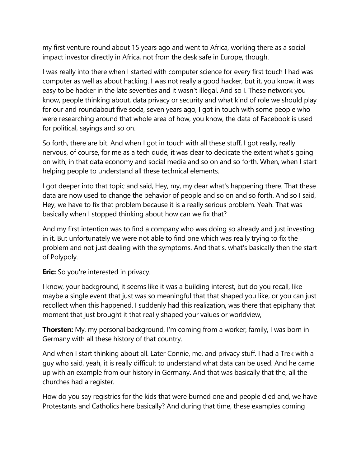my first venture round about 15 years ago and went to Africa, working there as a social impact investor directly in Africa, not from the desk safe in Europe, though.

I was really into there when I started with computer science for every first touch I had was computer as well as about hacking. I was not really a good hacker, but it, you know, it was easy to be hacker in the late seventies and it wasn't illegal. And so I. These network you know, people thinking about, data privacy or security and what kind of role we should play for our and roundabout five soda, seven years ago, I got in touch with some people who were researching around that whole area of how, you know, the data of Facebook is used for political, sayings and so on.

So forth, there are bit. And when I got in touch with all these stuff, I got really, really nervous, of course, for me as a tech dude, it was clear to dedicate the extent what's going on with, in that data economy and social media and so on and so forth. When, when I start helping people to understand all these technical elements.

I got deeper into that topic and said, Hey, my, my dear what's happening there. That these data are now used to change the behavior of people and so on and so forth. And so I said, Hey, we have to fix that problem because it is a really serious problem. Yeah. That was basically when I stopped thinking about how can we fix that?

And my first intention was to find a company who was doing so already and just investing in it. But unfortunately we were not able to find one which was really trying to fix the problem and not just dealing with the symptoms. And that's, what's basically then the start of Polypoly.

**Eric:** So you're interested in privacy.

I know, your background, it seems like it was a building interest, but do you recall, like maybe a single event that just was so meaningful that that shaped you like, or you can just recollect when this happened. I suddenly had this realization, was there that epiphany that moment that just brought it that really shaped your values or worldview,

**Thorsten:** My, my personal background, I'm coming from a worker, family, I was born in Germany with all these history of that country.

And when I start thinking about all. Later Connie, me, and privacy stuff. I had a Trek with a guy who said, yeah, it is really difficult to understand what data can be used. And he came up with an example from our history in Germany. And that was basically that the, all the churches had a register.

How do you say registries for the kids that were burned one and people died and, we have Protestants and Catholics here basically? And during that time, these examples coming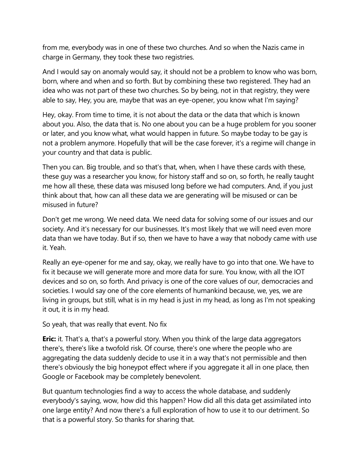from me, everybody was in one of these two churches. And so when the Nazis came in charge in Germany, they took these two registries.

And I would say on anomaly would say, it should not be a problem to know who was born, born, where and when and so forth. But by combining these two registered. They had an idea who was not part of these two churches. So by being, not in that registry, they were able to say, Hey, you are, maybe that was an eye-opener, you know what I'm saying?

Hey, okay. From time to time, it is not about the data or the data that which is known about you. Also, the data that is. No one about you can be a huge problem for you sooner or later, and you know what, what would happen in future. So maybe today to be gay is not a problem anymore. Hopefully that will be the case forever, it's a regime will change in your country and that data is public.

Then you can. Big trouble, and so that's that, when, when I have these cards with these, these guy was a researcher you know, for history staff and so on, so forth, he really taught me how all these, these data was misused long before we had computers. And, if you just think about that, how can all these data we are generating will be misused or can be misused in future?

Don't get me wrong. We need data. We need data for solving some of our issues and our society. And it's necessary for our businesses. It's most likely that we will need even more data than we have today. But if so, then we have to have a way that nobody came with use it. Yeah.

Really an eye-opener for me and say, okay, we really have to go into that one. We have to fix it because we will generate more and more data for sure. You know, with all the IOT devices and so on, so forth. And privacy is one of the core values of our, democracies and societies. I would say one of the core elements of humankind because, we, yes, we are living in groups, but still, what is in my head is just in my head, as long as I'm not speaking it out, it is in my head.

So yeah, that was really that event. No fix

**Eric:** it. That's a, that's a powerful story. When you think of the large data aggregators there's, there's like a twofold risk. Of course, there's one where the people who are aggregating the data suddenly decide to use it in a way that's not permissible and then there's obviously the big honeypot effect where if you aggregate it all in one place, then Google or Facebook may be completely benevolent.

But quantum technologies find a way to access the whole database, and suddenly everybody's saying, wow, how did this happen? How did all this data get assimilated into one large entity? And now there's a full exploration of how to use it to our detriment. So that is a powerful story. So thanks for sharing that.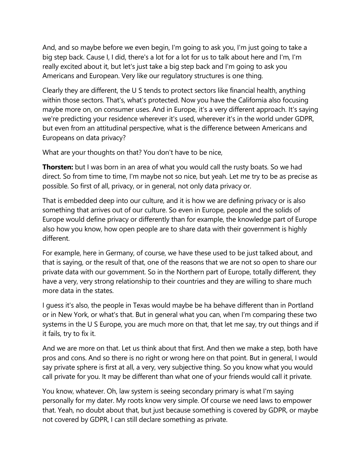And, and so maybe before we even begin, I'm going to ask you, I'm just going to take a big step back. Cause I, I did, there's a lot for a lot for us to talk about here and I'm, I'm really excited about it, but let's just take a big step back and I'm going to ask you Americans and European. Very like our regulatory structures is one thing.

Clearly they are different, the U S tends to protect sectors like financial health, anything within those sectors. That's, what's protected. Now you have the California also focusing maybe more on, on consumer uses. And in Europe, it's a very different approach. It's saying we're predicting your residence wherever it's used, wherever it's in the world under GDPR, but even from an attitudinal perspective, what is the difference between Americans and Europeans on data privacy?

What are your thoughts on that? You don't have to be nice,

**Thorsten:** but I was born in an area of what you would call the rusty boats. So we had direct. So from time to time, I'm maybe not so nice, but yeah. Let me try to be as precise as possible. So first of all, privacy, or in general, not only data privacy or.

That is embedded deep into our culture, and it is how we are defining privacy or is also something that arrives out of our culture. So even in Europe, people and the solids of Europe would define privacy or differently than for example, the knowledge part of Europe also how you know, how open people are to share data with their government is highly different.

For example, here in Germany, of course, we have these used to be just talked about, and that is saying, or the result of that, one of the reasons that we are not so open to share our private data with our government. So in the Northern part of Europe, totally different, they have a very, very strong relationship to their countries and they are willing to share much more data in the states.

I guess it's also, the people in Texas would maybe be ha behave different than in Portland or in New York, or what's that. But in general what you can, when I'm comparing these two systems in the U S Europe, you are much more on that, that let me say, try out things and if it fails, try to fix it.

And we are more on that. Let us think about that first. And then we make a step, both have pros and cons. And so there is no right or wrong here on that point. But in general, I would say private sphere is first at all, a very, very subjective thing. So you know what you would call private for you. It may be different than what one of your friends would call it private.

You know, whatever. Oh, law system is seeing secondary primary is what I'm saying personally for my dater. My roots know very simple. Of course we need laws to empower that. Yeah, no doubt about that, but just because something is covered by GDPR, or maybe not covered by GDPR, I can still declare something as private.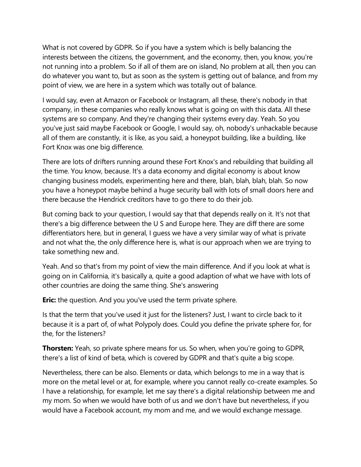What is not covered by GDPR. So if you have a system which is belly balancing the interests between the citizens, the government, and the economy, then, you know, you're not running into a problem. So if all of them are on island, No problem at all, then you can do whatever you want to, but as soon as the system is getting out of balance, and from my point of view, we are here in a system which was totally out of balance.

I would say, even at Amazon or Facebook or Instagram, all these, there's nobody in that company, in these companies who really knows what is going on with this data. All these systems are so company. And they're changing their systems every day. Yeah. So you you've just said maybe Facebook or Google, I would say, oh, nobody's unhackable because all of them are constantly, it is like, as you said, a honeypot building, like a building, like Fort Knox was one big difference.

There are lots of drifters running around these Fort Knox's and rebuilding that building all the time. You know, because. It's a data economy and digital economy is about know changing business models, experimenting here and there, blah, blah, blah, blah. So now you have a honeypot maybe behind a huge security ball with lots of small doors here and there because the Hendrick creditors have to go there to do their job.

But coming back to your question, I would say that that depends really on it. It's not that there's a big difference between the U S and Europe here. They are diff there are some differentiators here, but in general, I guess we have a very similar way of what is private and not what the, the only difference here is, what is our approach when we are trying to take something new and.

Yeah. And so that's from my point of view the main difference. And if you look at what is going on in California, it's basically a, quite a good adaption of what we have with lots of other countries are doing the same thing. She's answering

**Eric:** the question. And you you've used the term private sphere.

Is that the term that you've used it just for the listeners? Just, I want to circle back to it because it is a part of, of what Polypoly does. Could you define the private sphere for, for the, for the listeners?

**Thorsten:** Yeah, so private sphere means for us. So when, when you're going to GDPR, there's a list of kind of beta, which is covered by GDPR and that's quite a big scope.

Nevertheless, there can be also. Elements or data, which belongs to me in a way that is more on the metal level or at, for example, where you cannot really co-create examples. So I have a relationship, for example, let me say there's a digital relationship between me and my mom. So when we would have both of us and we don't have but nevertheless, if you would have a Facebook account, my mom and me, and we would exchange message.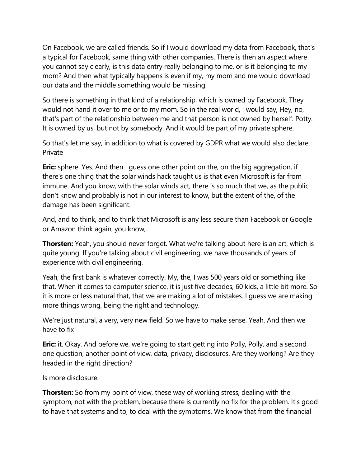On Facebook, we are called friends. So if I would download my data from Facebook, that's a typical for Facebook, same thing with other companies. There is then an aspect where you cannot say clearly, is this data entry really belonging to me, or is it belonging to my mom? And then what typically happens is even if my, my mom and me would download our data and the middle something would be missing.

So there is something in that kind of a relationship, which is owned by Facebook. They would not hand it over to me or to my mom. So in the real world, I would say, Hey, no, that's part of the relationship between me and that person is not owned by herself. Potty. It is owned by us, but not by somebody. And it would be part of my private sphere.

So that's let me say, in addition to what is covered by GDPR what we would also declare. Private

**Eric:** sphere. Yes. And then I guess one other point on the, on the big aggregation, if there's one thing that the solar winds hack taught us is that even Microsoft is far from immune. And you know, with the solar winds act, there is so much that we, as the public don't know and probably is not in our interest to know, but the extent of the, of the damage has been significant.

And, and to think, and to think that Microsoft is any less secure than Facebook or Google or Amazon think again, you know,

**Thorsten:** Yeah, you should never forget. What we're talking about here is an art, which is quite young. If you're talking about civil engineering, we have thousands of years of experience with civil engineering.

Yeah, the first bank is whatever correctly. My, the, I was 500 years old or something like that. When it comes to computer science, it is just five decades, 60 kids, a little bit more. So it is more or less natural that, that we are making a lot of mistakes. I guess we are making more things wrong, being the right and technology.

We're just natural, a very, very new field. So we have to make sense. Yeah. And then we have to fix

**Eric:** it. Okay. And before we, we're going to start getting into Polly, Polly, and a second one question, another point of view, data, privacy, disclosures. Are they working? Are they headed in the right direction?

Is more disclosure.

**Thorsten:** So from my point of view, these way of working stress, dealing with the symptom, not with the problem, because there is currently no fix for the problem. It's good to have that systems and to, to deal with the symptoms. We know that from the financial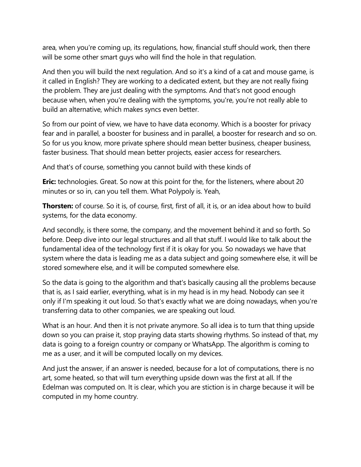area, when you're coming up, its regulations, how, financial stuff should work, then there will be some other smart guys who will find the hole in that regulation.

And then you will build the next regulation. And so it's a kind of a cat and mouse game, is it called in English? They are working to a dedicated extent, but they are not really fixing the problem. They are just dealing with the symptoms. And that's not good enough because when, when you're dealing with the symptoms, you're, you're not really able to build an alternative, which makes syncs even better.

So from our point of view, we have to have data economy. Which is a booster for privacy fear and in parallel, a booster for business and in parallel, a booster for research and so on. So for us you know, more private sphere should mean better business, cheaper business, faster business. That should mean better projects, easier access for researchers.

And that's of course, something you cannot build with these kinds of

**Eric:** technologies. Great. So now at this point for the, for the listeners, where about 20 minutes or so in, can you tell them. What Polypoly is. Yeah,

**Thorsten:** of course. So it is, of course, first, first of all, it is, or an idea about how to build systems, for the data economy.

And secondly, is there some, the company, and the movement behind it and so forth. So before. Deep dive into our legal structures and all that stuff. I would like to talk about the fundamental idea of the technology first if it is okay for you. So nowadays we have that system where the data is leading me as a data subject and going somewhere else, it will be stored somewhere else, and it will be computed somewhere else.

So the data is going to the algorithm and that's basically causing all the problems because that is, as I said earlier, everything, what is in my head is in my head. Nobody can see it only if I'm speaking it out loud. So that's exactly what we are doing nowadays, when you're transferring data to other companies, we are speaking out loud.

What is an hour. And then it is not private anymore. So all idea is to turn that thing upside down so you can praise it, stop praying data starts showing rhythms. So instead of that, my data is going to a foreign country or company or WhatsApp. The algorithm is coming to me as a user, and it will be computed locally on my devices.

And just the answer, if an answer is needed, because for a lot of computations, there is no art, some heated, so that will turn everything upside down was the first at all. If the Edelman was computed on. It is clear, which you are stiction is in charge because it will be computed in my home country.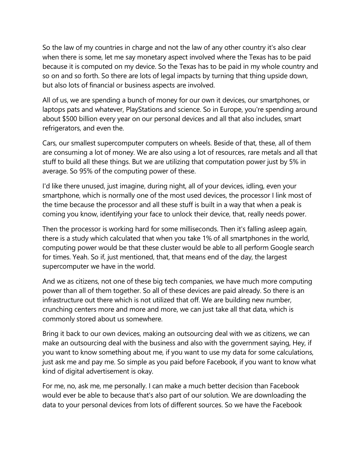So the law of my countries in charge and not the law of any other country it's also clear when there is some, let me say monetary aspect involved where the Texas has to be paid because it is computed on my device. So the Texas has to be paid in my whole country and so on and so forth. So there are lots of legal impacts by turning that thing upside down, but also lots of financial or business aspects are involved.

All of us, we are spending a bunch of money for our own it devices, our smartphones, or laptops pats and whatever, PlayStations and science. So in Europe, you're spending around about \$500 billion every year on our personal devices and all that also includes, smart refrigerators, and even the.

Cars, our smallest supercomputer computers on wheels. Beside of that, these, all of them are consuming a lot of money. We are also using a lot of resources, rare metals and all that stuff to build all these things. But we are utilizing that computation power just by 5% in average. So 95% of the computing power of these.

I'd like there unused, just imagine, during night, all of your devices, idling, even your smartphone, which is normally one of the most used devices, the processor I link most of the time because the processor and all these stuff is built in a way that when a peak is coming you know, identifying your face to unlock their device, that, really needs power.

Then the processor is working hard for some milliseconds. Then it's falling asleep again, there is a study which calculated that when you take 1% of all smartphones in the world, computing power would be that these cluster would be able to all perform Google search for times. Yeah. So if, just mentioned, that, that means end of the day, the largest supercomputer we have in the world.

And we as citizens, not one of these big tech companies, we have much more computing power than all of them together. So all of these devices are paid already. So there is an infrastructure out there which is not utilized that off. We are building new number, crunching centers more and more and more, we can just take all that data, which is commonly stored about us somewhere.

Bring it back to our own devices, making an outsourcing deal with we as citizens, we can make an outsourcing deal with the business and also with the government saying, Hey, if you want to know something about me, if you want to use my data for some calculations, just ask me and pay me. So simple as you paid before Facebook, if you want to know what kind of digital advertisement is okay.

For me, no, ask me, me personally. I can make a much better decision than Facebook would ever be able to because that's also part of our solution. We are downloading the data to your personal devices from lots of different sources. So we have the Facebook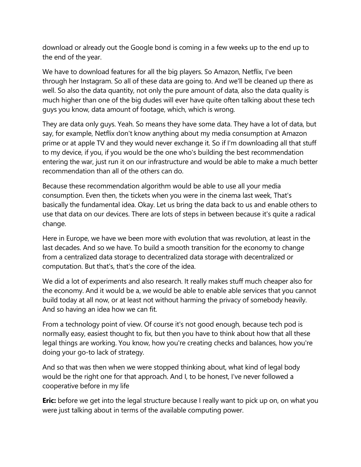download or already out the Google bond is coming in a few weeks up to the end up to the end of the year.

We have to download features for all the big players. So Amazon, Netflix, I've been through her Instagram. So all of these data are going to. And we'll be cleaned up there as well. So also the data quantity, not only the pure amount of data, also the data quality is much higher than one of the big dudes will ever have quite often talking about these tech guys you know, data amount of footage, which, which is wrong.

They are data only guys. Yeah. So means they have some data. They have a lot of data, but say, for example, Netflix don't know anything about my media consumption at Amazon prime or at apple TV and they would never exchange it. So if I'm downloading all that stuff to my device, if you, if you would be the one who's building the best recommendation entering the war, just run it on our infrastructure and would be able to make a much better recommendation than all of the others can do.

Because these recommendation algorithm would be able to use all your media consumption. Even then, the tickets when you were in the cinema last week, That's basically the fundamental idea. Okay. Let us bring the data back to us and enable others to use that data on our devices. There are lots of steps in between because it's quite a radical change.

Here in Europe, we have we been more with evolution that was revolution, at least in the last decades. And so we have. To build a smooth transition for the economy to change from a centralized data storage to decentralized data storage with decentralized or computation. But that's, that's the core of the idea.

We did a lot of experiments and also research. It really makes stuff much cheaper also for the economy. And it would be a, we would be able to enable able services that you cannot build today at all now, or at least not without harming the privacy of somebody heavily. And so having an idea how we can fit.

From a technology point of view. Of course it's not good enough, because tech pod is normally easy, easiest thought to fix, but then you have to think about how that all these legal things are working. You know, how you're creating checks and balances, how you're doing your go-to lack of strategy.

And so that was then when we were stopped thinking about, what kind of legal body would be the right one for that approach. And I, to be honest, I've never followed a cooperative before in my life

**Eric:** before we get into the legal structure because I really want to pick up on, on what you were just talking about in terms of the available computing power.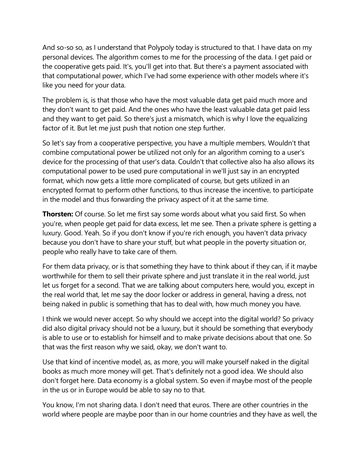And so-so so, as I understand that Polypoly today is structured to that. I have data on my personal devices. The algorithm comes to me for the processing of the data. I get paid or the cooperative gets paid. It's, you'll get into that. But there's a payment associated with that computational power, which I've had some experience with other models where it's like you need for your data.

The problem is, is that those who have the most valuable data get paid much more and they don't want to get paid. And the ones who have the least valuable data get paid less and they want to get paid. So there's just a mismatch, which is why I love the equalizing factor of it. But let me just push that notion one step further.

So let's say from a cooperative perspective, you have a multiple members. Wouldn't that combine computational power be utilized not only for an algorithm coming to a user's device for the processing of that user's data. Couldn't that collective also ha also allows its computational power to be used pure computational in we'll just say in an encrypted format, which now gets a little more complicated of course, but gets utilized in an encrypted format to perform other functions, to thus increase the incentive, to participate in the model and thus forwarding the privacy aspect of it at the same time.

**Thorsten:** Of course. So let me first say some words about what you said first. So when you're, when people get paid for data excess, let me see. Then a private sphere is getting a luxury. Good. Yeah. So if you don't know if you're rich enough, you haven't data privacy because you don't have to share your stuff, but what people in the poverty situation or, people who really have to take care of them.

For them data privacy, or is that something they have to think about if they can, if it maybe worthwhile for them to sell their private sphere and just translate it in the real world, just let us forget for a second. That we are talking about computers here, would you, except in the real world that, let me say the door locker or address in general, having a dress, not being naked in public is something that has to deal with, how much money you have.

I think we would never accept. So why should we accept into the digital world? So privacy did also digital privacy should not be a luxury, but it should be something that everybody is able to use or to establish for himself and to make private decisions about that one. So that was the first reason why we said, okay, we don't want to.

Use that kind of incentive model, as, as more, you will make yourself naked in the digital books as much more money will get. That's definitely not a good idea. We should also don't forget here. Data economy is a global system. So even if maybe most of the people in the us or in Europe would be able to say no to that.

You know, I'm not sharing data. I don't need that euros. There are other countries in the world where people are maybe poor than in our home countries and they have as well, the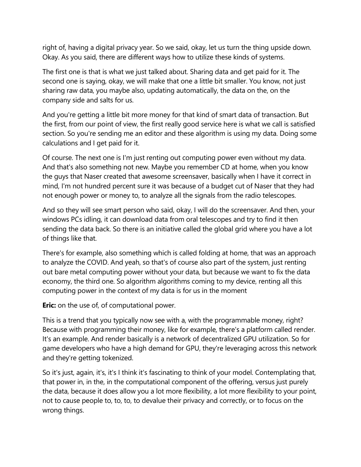right of, having a digital privacy year. So we said, okay, let us turn the thing upside down. Okay. As you said, there are different ways how to utilize these kinds of systems.

The first one is that is what we just talked about. Sharing data and get paid for it. The second one is saying, okay, we will make that one a little bit smaller. You know, not just sharing raw data, you maybe also, updating automatically, the data on the, on the company side and salts for us.

And you're getting a little bit more money for that kind of smart data of transaction. But the first, from our point of view, the first really good service here is what we call is satisfied section. So you're sending me an editor and these algorithm is using my data. Doing some calculations and I get paid for it.

Of course. The next one is I'm just renting out computing power even without my data. And that's also something not new. Maybe you remember CD at home, when you know the guys that Naser created that awesome screensaver, basically when I have it correct in mind, I'm not hundred percent sure it was because of a budget cut of Naser that they had not enough power or money to, to analyze all the signals from the radio telescopes.

And so they will see smart person who said, okay, I will do the screensaver. And then, your windows PCs idling, it can download data from oral telescopes and try to find it then sending the data back. So there is an initiative called the global grid where you have a lot of things like that.

There's for example, also something which is called folding at home, that was an approach to analyze the COVID. And yeah, so that's of course also part of the system, just renting out bare metal computing power without your data, but because we want to fix the data economy, the third one. So algorithm algorithms coming to my device, renting all this computing power in the context of my data is for us in the moment

**Eric:** on the use of, of computational power.

This is a trend that you typically now see with a, with the programmable money, right? Because with programming their money, like for example, there's a platform called render. It's an example. And render basically is a network of decentralized GPU utilization. So for game developers who have a high demand for GPU, they're leveraging across this network and they're getting tokenized.

So it's just, again, it's, it's I think it's fascinating to think of your model. Contemplating that, that power in, in the, in the computational component of the offering, versus just purely the data, because it does allow you a lot more flexibility, a lot more flexibility to your point, not to cause people to, to, to, to devalue their privacy and correctly, or to focus on the wrong things.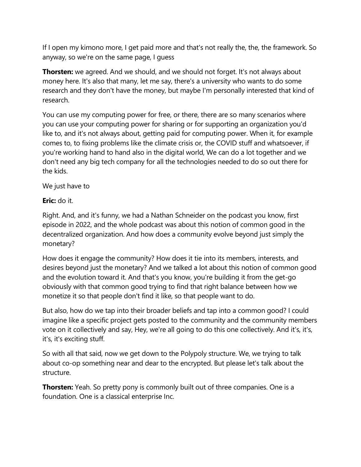If I open my kimono more, I get paid more and that's not really the, the, the framework. So anyway, so we're on the same page, I guess

**Thorsten:** we agreed. And we should, and we should not forget. It's not always about money here. It's also that many, let me say, there's a university who wants to do some research and they don't have the money, but maybe I'm personally interested that kind of research.

You can use my computing power for free, or there, there are so many scenarios where you can use your computing power for sharing or for supporting an organization you'd like to, and it's not always about, getting paid for computing power. When it, for example comes to, to fixing problems like the climate crisis or, the COVID stuff and whatsoever, if you're working hand to hand also in the digital world, We can do a lot together and we don't need any big tech company for all the technologies needed to do so out there for the kids.

We just have to

**Eric:** do it.

Right. And, and it's funny, we had a Nathan Schneider on the podcast you know, first episode in 2022, and the whole podcast was about this notion of common good in the decentralized organization. And how does a community evolve beyond just simply the monetary?

How does it engage the community? How does it tie into its members, interests, and desires beyond just the monetary? And we talked a lot about this notion of common good and the evolution toward it. And that's you know, you're building it from the get-go obviously with that common good trying to find that right balance between how we monetize it so that people don't find it like, so that people want to do.

But also, how do we tap into their broader beliefs and tap into a common good? I could imagine like a specific project gets posted to the community and the community members vote on it collectively and say, Hey, we're all going to do this one collectively. And it's, it's, it's, it's exciting stuff.

So with all that said, now we get down to the Polypoly structure. We, we trying to talk about co-op something near and dear to the encrypted. But please let's talk about the structure.

**Thorsten:** Yeah. So pretty pony is commonly built out of three companies. One is a foundation. One is a classical enterprise Inc.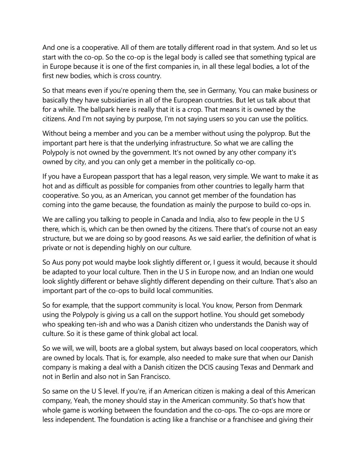And one is a cooperative. All of them are totally different road in that system. And so let us start with the co-op. So the co-op is the legal body is called see that something typical are in Europe because it is one of the first companies in, in all these legal bodies, a lot of the first new bodies, which is cross country.

So that means even if you're opening them the, see in Germany, You can make business or basically they have subsidiaries in all of the European countries. But let us talk about that for a while. The ballpark here is really that it is a crop. That means it is owned by the citizens. And I'm not saying by purpose, I'm not saying users so you can use the politics.

Without being a member and you can be a member without using the polyprop. But the important part here is that the underlying infrastructure. So what we are calling the Polypoly is not owned by the government. It's not owned by any other company it's owned by city, and you can only get a member in the politically co-op.

If you have a European passport that has a legal reason, very simple. We want to make it as hot and as difficult as possible for companies from other countries to legally harm that cooperative. So you, as an American, you cannot get member of the foundation has coming into the game because, the foundation as mainly the purpose to build co-ops in.

We are calling you talking to people in Canada and India, also to few people in the U S there, which is, which can be then owned by the citizens. There that's of course not an easy structure, but we are doing so by good reasons. As we said earlier, the definition of what is private or not is depending highly on our culture.

So Aus pony pot would maybe look slightly different or, I guess it would, because it should be adapted to your local culture. Then in the U S in Europe now, and an Indian one would look slightly different or behave slightly different depending on their culture. That's also an important part of the co-ops to build local communities.

So for example, that the support community is local. You know, Person from Denmark using the Polypoly is giving us a call on the support hotline. You should get somebody who speaking ten-ish and who was a Danish citizen who understands the Danish way of culture. So it is these game of think global act local.

So we will, we will, boots are a global system, but always based on local cooperators, which are owned by locals. That is, for example, also needed to make sure that when our Danish company is making a deal with a Danish citizen the DCIS causing Texas and Denmark and not in Berlin and also not in San Francisco.

So same on the U S level. If you're, if an American citizen is making a deal of this American company, Yeah, the money should stay in the American community. So that's how that whole game is working between the foundation and the co-ops. The co-ops are more or less independent. The foundation is acting like a franchise or a franchisee and giving their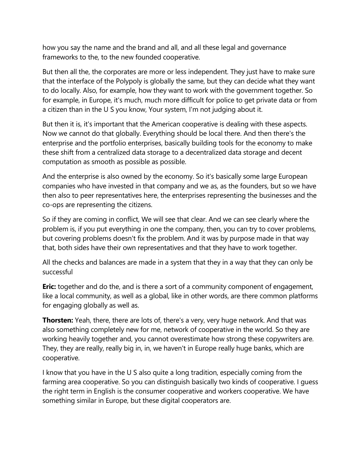how you say the name and the brand and all, and all these legal and governance frameworks to the, to the new founded cooperative.

But then all the, the corporates are more or less independent. They just have to make sure that the interface of the Polypoly is globally the same, but they can decide what they want to do locally. Also, for example, how they want to work with the government together. So for example, in Europe, it's much, much more difficult for police to get private data or from a citizen than in the U S you know, Your system, I'm not judging about it.

But then it is, it's important that the American cooperative is dealing with these aspects. Now we cannot do that globally. Everything should be local there. And then there's the enterprise and the portfolio enterprises, basically building tools for the economy to make these shift from a centralized data storage to a decentralized data storage and decent computation as smooth as possible as possible.

And the enterprise is also owned by the economy. So it's basically some large European companies who have invested in that company and we as, as the founders, but so we have then also to peer representatives here, the enterprises representing the businesses and the co-ops are representing the citizens.

So if they are coming in conflict, We will see that clear. And we can see clearly where the problem is, if you put everything in one the company, then, you can try to cover problems, but covering problems doesn't fix the problem. And it was by purpose made in that way that, both sides have their own representatives and that they have to work together.

All the checks and balances are made in a system that they in a way that they can only be successful

**Eric:** together and do the, and is there a sort of a community component of engagement, like a local community, as well as a global, like in other words, are there common platforms for engaging globally as well as.

**Thorsten:** Yeah, there, there are lots of, there's a very, very huge network. And that was also something completely new for me, network of cooperative in the world. So they are working heavily together and, you cannot overestimate how strong these copywriters are. They, they are really, really big in, in, we haven't in Europe really huge banks, which are cooperative.

I know that you have in the U S also quite a long tradition, especially coming from the farming area cooperative. So you can distinguish basically two kinds of cooperative. I guess the right term in English is the consumer cooperative and workers cooperative. We have something similar in Europe, but these digital cooperators are.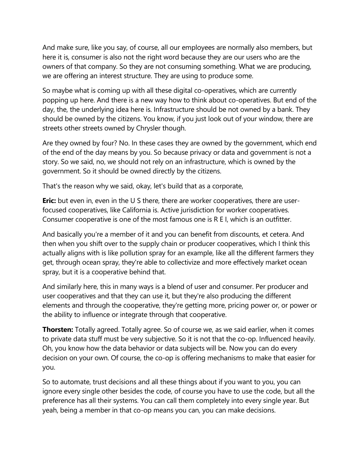And make sure, like you say, of course, all our employees are normally also members, but here it is, consumer is also not the right word because they are our users who are the owners of that company. So they are not consuming something. What we are producing, we are offering an interest structure. They are using to produce some.

So maybe what is coming up with all these digital co-operatives, which are currently popping up here. And there is a new way how to think about co-operatives. But end of the day, the, the underlying idea here is. Infrastructure should be not owned by a bank. They should be owned by the citizens. You know, if you just look out of your window, there are streets other streets owned by Chrysler though.

Are they owned by four? No. In these cases they are owned by the government, which end of the end of the day means by you. So because privacy or data and government is not a story. So we said, no, we should not rely on an infrastructure, which is owned by the government. So it should be owned directly by the citizens.

That's the reason why we said, okay, let's build that as a corporate,

**Eric:** but even in, even in the U S there, there are worker cooperatives, there are userfocused cooperatives, like California is. Active jurisdiction for worker cooperatives. Consumer cooperative is one of the most famous one is R E I, which is an outfitter.

And basically you're a member of it and you can benefit from discounts, et cetera. And then when you shift over to the supply chain or producer cooperatives, which I think this actually aligns with is like pollution spray for an example, like all the different farmers they get, through ocean spray, they're able to collectivize and more effectively market ocean spray, but it is a cooperative behind that.

And similarly here, this in many ways is a blend of user and consumer. Per producer and user cooperatives and that they can use it, but they're also producing the different elements and through the cooperative, they're getting more, pricing power or, or power or the ability to influence or integrate through that cooperative.

**Thorsten:** Totally agreed. Totally agree. So of course we, as we said earlier, when it comes to private data stuff must be very subjective. So it is not that the co-op. Influenced heavily. Oh, you know how the data behavior or data subjects will be. Now you can do every decision on your own. Of course, the co-op is offering mechanisms to make that easier for you.

So to automate, trust decisions and all these things about if you want to you, you can ignore every single other besides the code, of course you have to use the code, but all the preference has all their systems. You can call them completely into every single year. But yeah, being a member in that co-op means you can, you can make decisions.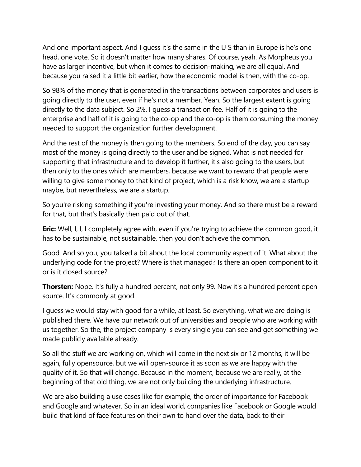And one important aspect. And I guess it's the same in the U S than in Europe is he's one head, one vote. So it doesn't matter how many shares. Of course, yeah. As Morpheus you have as larger incentive, but when it comes to decision-making, we are all equal. And because you raised it a little bit earlier, how the economic model is then, with the co-op.

So 98% of the money that is generated in the transactions between corporates and users is going directly to the user, even if he's not a member. Yeah. So the largest extent is going directly to the data subject. So 2%. I guess a transaction fee. Half of it is going to the enterprise and half of it is going to the co-op and the co-op is them consuming the money needed to support the organization further development.

And the rest of the money is then going to the members. So end of the day, you can say most of the money is going directly to the user and be signed. What is not needed for supporting that infrastructure and to develop it further, it's also going to the users, but then only to the ones which are members, because we want to reward that people were willing to give some money to that kind of project, which is a risk know, we are a startup maybe, but nevertheless, we are a startup.

So you're risking something if you're investing your money. And so there must be a reward for that, but that's basically then paid out of that.

**Eric:** Well, I, I, I completely agree with, even if you're trying to achieve the common good, it has to be sustainable, not sustainable, then you don't achieve the common.

Good. And so you, you talked a bit about the local community aspect of it. What about the underlying code for the project? Where is that managed? Is there an open component to it or is it closed source?

**Thorsten:** Nope. It's fully a hundred percent, not only 99. Now it's a hundred percent open source. It's commonly at good.

I guess we would stay with good for a while, at least. So everything, what we are doing is published there. We have our network out of universities and people who are working with us together. So the, the project company is every single you can see and get something we made publicly available already.

So all the stuff we are working on, which will come in the next six or 12 months, it will be again, fully opensource, but we will open-source it as soon as we are happy with the quality of it. So that will change. Because in the moment, because we are really, at the beginning of that old thing, we are not only building the underlying infrastructure.

We are also building a use cases like for example, the order of importance for Facebook and Google and whatever. So in an ideal world, companies like Facebook or Google would build that kind of face features on their own to hand over the data, back to their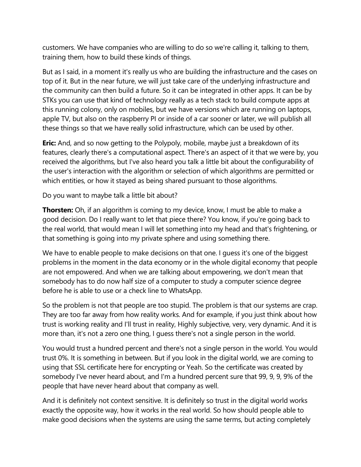customers. We have companies who are willing to do so we're calling it, talking to them, training them, how to build these kinds of things.

But as I said, in a moment it's really us who are building the infrastructure and the cases on top of it. But in the near future, we will just take care of the underlying infrastructure and the community can then build a future. So it can be integrated in other apps. It can be by STKs you can use that kind of technology really as a tech stack to build compute apps at this running colony, only on mobiles, but we have versions which are running on laptops, apple TV, but also on the raspberry PI or inside of a car sooner or later, we will publish all these things so that we have really solid infrastructure, which can be used by other.

**Eric:** And, and so now getting to the Polypoly, mobile, maybe just a breakdown of its features, clearly there's a computational aspect. There's an aspect of it that we were by, you received the algorithms, but I've also heard you talk a little bit about the configurability of the user's interaction with the algorithm or selection of which algorithms are permitted or which entities, or how it stayed as being shared pursuant to those algorithms.

Do you want to maybe talk a little bit about?

**Thorsten:** Oh, if an algorithm is coming to my device, know, I must be able to make a good decision. Do I really want to let that piece there? You know, if you're going back to the real world, that would mean I will let something into my head and that's frightening, or that something is going into my private sphere and using something there.

We have to enable people to make decisions on that one. I quess it's one of the biggest problems in the moment in the data economy or in the whole digital economy that people are not empowered. And when we are talking about empowering, we don't mean that somebody has to do now half size of a computer to study a computer science degree before he is able to use or a check line to WhatsApp.

So the problem is not that people are too stupid. The problem is that our systems are crap. They are too far away from how reality works. And for example, if you just think about how trust is working reality and I'll trust in reality, Highly subjective, very, very dynamic. And it is more than, it's not a zero one thing, I guess there's not a single person in the world.

You would trust a hundred percent and there's not a single person in the world. You would trust 0%. It is something in between. But if you look in the digital world, we are coming to using that SSL certificate here for encrypting or Yeah. So the certificate was created by somebody I've never heard about, and I'm a hundred percent sure that 99, 9, 9, 9% of the people that have never heard about that company as well.

And it is definitely not context sensitive. It is definitely so trust in the digital world works exactly the opposite way, how it works in the real world. So how should people able to make good decisions when the systems are using the same terms, but acting completely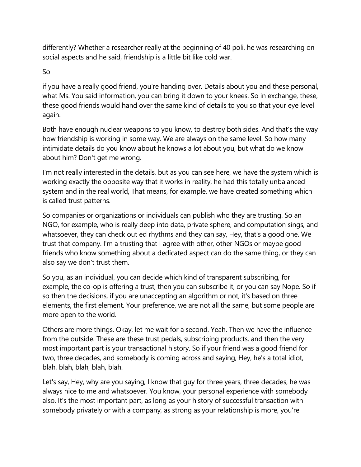differently? Whether a researcher really at the beginning of 40 poli, he was researching on social aspects and he said, friendship is a little bit like cold war.

## So

if you have a really good friend, you're handing over. Details about you and these personal, what Ms. You said information, you can bring it down to your knees. So in exchange, these, these good friends would hand over the same kind of details to you so that your eye level again.

Both have enough nuclear weapons to you know, to destroy both sides. And that's the way how friendship is working in some way. We are always on the same level. So how many intimidate details do you know about he knows a lot about you, but what do we know about him? Don't get me wrong.

I'm not really interested in the details, but as you can see here, we have the system which is working exactly the opposite way that it works in reality, he had this totally unbalanced system and in the real world, That means, for example, we have created something which is called trust patterns.

So companies or organizations or individuals can publish who they are trusting. So an NGO, for example, who is really deep into data, private sphere, and computation sings, and whatsoever, they can check out ed rhythms and they can say, Hey, that's a good one. We trust that company. I'm a trusting that I agree with other, other NGOs or maybe good friends who know something about a dedicated aspect can do the same thing, or they can also say we don't trust them.

So you, as an individual, you can decide which kind of transparent subscribing, for example, the co-op is offering a trust, then you can subscribe it, or you can say Nope. So if so then the decisions, if you are unaccepting an algorithm or not, it's based on three elements, the first element. Your preference, we are not all the same, but some people are more open to the world.

Others are more things. Okay, let me wait for a second. Yeah. Then we have the influence from the outside. These are these trust pedals, subscribing products, and then the very most important part is your transactional history. So if your friend was a good friend for two, three decades, and somebody is coming across and saying, Hey, he's a total idiot, blah, blah, blah, blah, blah.

Let's say, Hey, why are you saying, I know that guy for three years, three decades, he was always nice to me and whatsoever. You know, your personal experience with somebody also. It's the most important part, as long as your history of successful transaction with somebody privately or with a company, as strong as your relationship is more, you're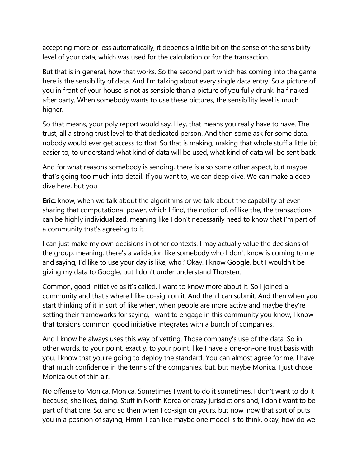accepting more or less automatically, it depends a little bit on the sense of the sensibility level of your data, which was used for the calculation or for the transaction.

But that is in general, how that works. So the second part which has coming into the game here is the sensibility of data. And I'm talking about every single data entry. So a picture of you in front of your house is not as sensible than a picture of you fully drunk, half naked after party. When somebody wants to use these pictures, the sensibility level is much higher.

So that means, your poly report would say, Hey, that means you really have to have. The trust, all a strong trust level to that dedicated person. And then some ask for some data, nobody would ever get access to that. So that is making, making that whole stuff a little bit easier to, to understand what kind of data will be used, what kind of data will be sent back.

And for what reasons somebody is sending, there is also some other aspect, but maybe that's going too much into detail. If you want to, we can deep dive. We can make a deep dive here, but you

**Eric:** know, when we talk about the algorithms or we talk about the capability of even sharing that computational power, which I find, the notion of, of like the, the transactions can be highly individualized, meaning like I don't necessarily need to know that I'm part of a community that's agreeing to it.

I can just make my own decisions in other contexts. I may actually value the decisions of the group, meaning, there's a validation like somebody who I don't know is coming to me and saying, I'd like to use your day is like, who? Okay. I know Google, but I wouldn't be giving my data to Google, but I don't under understand Thorsten.

Common, good initiative as it's called. I want to know more about it. So I joined a community and that's where I like co-sign on it. And then I can submit. And then when you start thinking of it in sort of like when, when people are more active and maybe they're setting their frameworks for saying, I want to engage in this community you know, I know that torsions common, good initiative integrates with a bunch of companies.

And I know he always uses this way of vetting. Those company's use of the data. So in other words, to your point, exactly, to your point, like I have a one-on-one trust basis with you. I know that you're going to deploy the standard. You can almost agree for me. I have that much confidence in the terms of the companies, but, but maybe Monica, I just chose Monica out of thin air.

No offense to Monica, Monica. Sometimes I want to do it sometimes. I don't want to do it because, she likes, doing. Stuff in North Korea or crazy jurisdictions and, I don't want to be part of that one. So, and so then when I co-sign on yours, but now, now that sort of puts you in a position of saying, Hmm, I can like maybe one model is to think, okay, how do we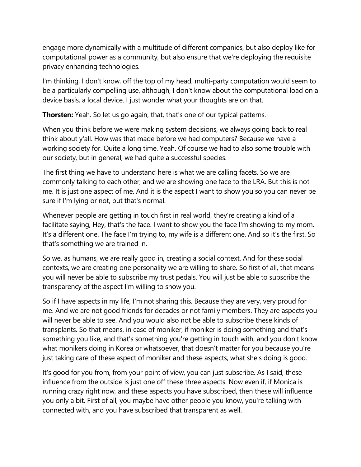engage more dynamically with a multitude of different companies, but also deploy like for computational power as a community, but also ensure that we're deploying the requisite privacy enhancing technologies.

I'm thinking, I don't know, off the top of my head, multi-party computation would seem to be a particularly compelling use, although, I don't know about the computational load on a device basis, a local device. I just wonder what your thoughts are on that.

**Thorsten:** Yeah. So let us go again, that, that's one of our typical patterns.

When you think before we were making system decisions, we always going back to real think about y'all. How was that made before we had computers? Because we have a working society for. Quite a long time. Yeah. Of course we had to also some trouble with our society, but in general, we had quite a successful species.

The first thing we have to understand here is what we are calling facets. So we are commonly talking to each other, and we are showing one face to the LRA. But this is not me. It is just one aspect of me. And it is the aspect I want to show you so you can never be sure if I'm lying or not, but that's normal.

Whenever people are getting in touch first in real world, they're creating a kind of a facilitate saying, Hey, that's the face. I want to show you the face I'm showing to my mom. It's a different one. The face I'm trying to, my wife is a different one. And so it's the first. So that's something we are trained in.

So we, as humans, we are really good in, creating a social context. And for these social contexts, we are creating one personality we are willing to share. So first of all, that means you will never be able to subscribe my trust pedals. You will just be able to subscribe the transparency of the aspect I'm willing to show you.

So if I have aspects in my life, I'm not sharing this. Because they are very, very proud for me. And we are not good friends for decades or not family members. They are aspects you will never be able to see. And you would also not be able to subscribe these kinds of transplants. So that means, in case of moniker, if moniker is doing something and that's something you like, and that's something you're getting in touch with, and you don't know what monikers doing in Korea or whatsoever, that doesn't matter for you because you're just taking care of these aspect of moniker and these aspects, what she's doing is good.

It's good for you from, from your point of view, you can just subscribe. As I said, these influence from the outside is just one off these three aspects. Now even if, if Monica is running crazy right now, and these aspects you have subscribed, then these will influence you only a bit. First of all, you maybe have other people you know, you're talking with connected with, and you have subscribed that transparent as well.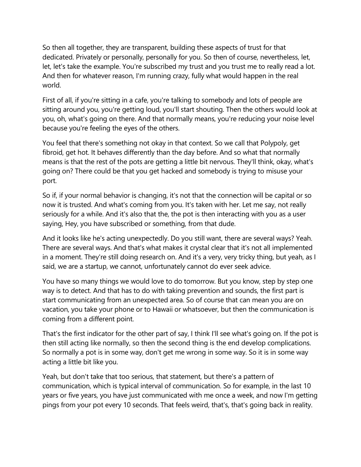So then all together, they are transparent, building these aspects of trust for that dedicated. Privately or personally, personally for you. So then of course, nevertheless, let, let, let's take the example. You're subscribed my trust and you trust me to really read a lot. And then for whatever reason, I'm running crazy, fully what would happen in the real world.

First of all, if you're sitting in a cafe, you're talking to somebody and lots of people are sitting around you, you're getting loud, you'll start shouting. Then the others would look at you, oh, what's going on there. And that normally means, you're reducing your noise level because you're feeling the eyes of the others.

You feel that there's something not okay in that context. So we call that Polypoly, get fibroid, get hot. It behaves differently than the day before. And so what that normally means is that the rest of the pots are getting a little bit nervous. They'll think, okay, what's going on? There could be that you get hacked and somebody is trying to misuse your port.

So if, if your normal behavior is changing, it's not that the connection will be capital or so now it is trusted. And what's coming from you. It's taken with her. Let me say, not really seriously for a while. And it's also that the, the pot is then interacting with you as a user saying, Hey, you have subscribed or something, from that dude.

And it looks like he's acting unexpectedly. Do you still want, there are several ways? Yeah. There are several ways. And that's what makes it crystal clear that it's not all implemented in a moment. They're still doing research on. And it's a very, very tricky thing, but yeah, as I said, we are a startup, we cannot, unfortunately cannot do ever seek advice.

You have so many things we would love to do tomorrow. But you know, step by step one way is to detect. And that has to do with taking prevention and sounds, the first part is start communicating from an unexpected area. So of course that can mean you are on vacation, you take your phone or to Hawaii or whatsoever, but then the communication is coming from a different point.

That's the first indicator for the other part of say, I think I'll see what's going on. If the pot is then still acting like normally, so then the second thing is the end develop complications. So normally a pot is in some way, don't get me wrong in some way. So it is in some way acting a little bit like you.

Yeah, but don't take that too serious, that statement, but there's a pattern of communication, which is typical interval of communication. So for example, in the last 10 years or five years, you have just communicated with me once a week, and now I'm getting pings from your pot every 10 seconds. That feels weird, that's, that's going back in reality.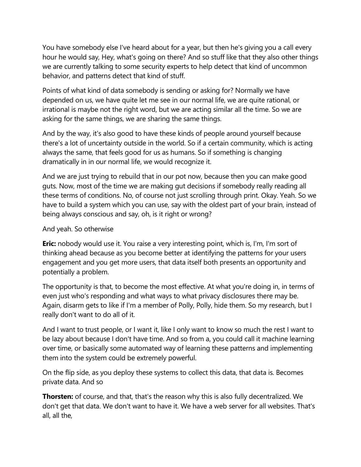You have somebody else I've heard about for a year, but then he's giving you a call every hour he would say, Hey, what's going on there? And so stuff like that they also other things we are currently talking to some security experts to help detect that kind of uncommon behavior, and patterns detect that kind of stuff.

Points of what kind of data somebody is sending or asking for? Normally we have depended on us, we have quite let me see in our normal life, we are quite rational, or irrational is maybe not the right word, but we are acting similar all the time. So we are asking for the same things, we are sharing the same things.

And by the way, it's also good to have these kinds of people around yourself because there's a lot of uncertainty outside in the world. So if a certain community, which is acting always the same, that feels good for us as humans. So if something is changing dramatically in in our normal life, we would recognize it.

And we are just trying to rebuild that in our pot now, because then you can make good guts. Now, most of the time we are making gut decisions if somebody really reading all these terms of conditions. No, of course not just scrolling through print. Okay. Yeah. So we have to build a system which you can use, say with the oldest part of your brain, instead of being always conscious and say, oh, is it right or wrong?

## And yeah. So otherwise

**Eric:** nobody would use it. You raise a very interesting point, which is, I'm, I'm sort of thinking ahead because as you become better at identifying the patterns for your users engagement and you get more users, that data itself both presents an opportunity and potentially a problem.

The opportunity is that, to become the most effective. At what you're doing in, in terms of even just who's responding and what ways to what privacy disclosures there may be. Again, disarm gets to like if I'm a member of Polly, Polly, hide them. So my research, but I really don't want to do all of it.

And I want to trust people, or I want it, like I only want to know so much the rest I want to be lazy about because I don't have time. And so from a, you could call it machine learning over time, or basically some automated way of learning these patterns and implementing them into the system could be extremely powerful.

On the flip side, as you deploy these systems to collect this data, that data is. Becomes private data. And so

**Thorsten:** of course, and that, that's the reason why this is also fully decentralized. We don't get that data. We don't want to have it. We have a web server for all websites. That's all, all the,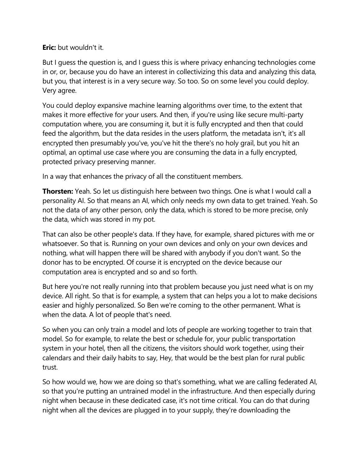**Eric:** but wouldn't it.

But I guess the question is, and I guess this is where privacy enhancing technologies come in or, or, because you do have an interest in collectivizing this data and analyzing this data, but you, that interest is in a very secure way. So too. So on some level you could deploy. Very agree.

You could deploy expansive machine learning algorithms over time, to the extent that makes it more effective for your users. And then, if you're using like secure multi-party computation where, you are consuming it, but it is fully encrypted and then that could feed the algorithm, but the data resides in the users platform, the metadata isn't, it's all encrypted then presumably you've, you've hit the there's no holy grail, but you hit an optimal, an optimal use case where you are consuming the data in a fully encrypted, protected privacy preserving manner.

In a way that enhances the privacy of all the constituent members.

**Thorsten:** Yeah. So let us distinguish here between two things. One is what I would call a personality AI. So that means an AI, which only needs my own data to get trained. Yeah. So not the data of any other person, only the data, which is stored to be more precise, only the data, which was stored in my pot.

That can also be other people's data. If they have, for example, shared pictures with me or whatsoever. So that is. Running on your own devices and only on your own devices and nothing, what will happen there will be shared with anybody if you don't want. So the donor has to be encrypted. Of course it is encrypted on the device because our computation area is encrypted and so and so forth.

But here you're not really running into that problem because you just need what is on my device. All right. So that is for example, a system that can helps you a lot to make decisions easier and highly personalized. So Ben we're coming to the other permanent. What is when the data. A lot of people that's need.

So when you can only train a model and lots of people are working together to train that model. So for example, to relate the best or schedule for, your public transportation system in your hotel, then all the citizens, the visitors should work together, using their calendars and their daily habits to say, Hey, that would be the best plan for rural public trust.

So how would we, how we are doing so that's something, what we are calling federated AI, so that you're putting an untrained model in the infrastructure. And then especially during night when because in these dedicated case, it's not time critical. You can do that during night when all the devices are plugged in to your supply, they're downloading the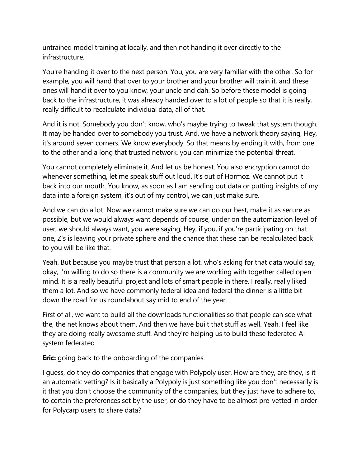untrained model training at locally, and then not handing it over directly to the infrastructure.

You're handing it over to the next person. You, you are very familiar with the other. So for example, you will hand that over to your brother and your brother will train it, and these ones will hand it over to you know, your uncle and dah. So before these model is going back to the infrastructure, it was already handed over to a lot of people so that it is really, really difficult to recalculate individual data, all of that.

And it is not. Somebody you don't know, who's maybe trying to tweak that system though. It may be handed over to somebody you trust. And, we have a network theory saying, Hey, it's around seven corners. We know everybody. So that means by ending it with, from one to the other and a long that trusted network, you can minimize the potential threat.

You cannot completely eliminate it. And let us be honest. You also encryption cannot do whenever something, let me speak stuff out loud. It's out of Hormoz. We cannot put it back into our mouth. You know, as soon as I am sending out data or putting insights of my data into a foreign system, it's out of my control, we can just make sure.

And we can do a lot. Now we cannot make sure we can do our best, make it as secure as possible, but we would always want depends of course, under on the automization level of user, we should always want, you were saying, Hey, if you, if you're participating on that one, Z's is leaving your private sphere and the chance that these can be recalculated back to you will be like that.

Yeah. But because you maybe trust that person a lot, who's asking for that data would say, okay, I'm willing to do so there is a community we are working with together called open mind. It is a really beautiful project and lots of smart people in there. I really, really liked them a lot. And so we have commonly federal idea and federal the dinner is a little bit down the road for us roundabout say mid to end of the year.

First of all, we want to build all the downloads functionalities so that people can see what the, the net knows about them. And then we have built that stuff as well. Yeah. I feel like they are doing really awesome stuff. And they're helping us to build these federated AI system federated

**Eric:** going back to the onboarding of the companies.

I guess, do they do companies that engage with Polypoly user. How are they, are they, is it an automatic vetting? Is it basically a Polypoly is just something like you don't necessarily is it that you don't choose the community of the companies, but they just have to adhere to, to certain the preferences set by the user, or do they have to be almost pre-vetted in order for Polycarp users to share data?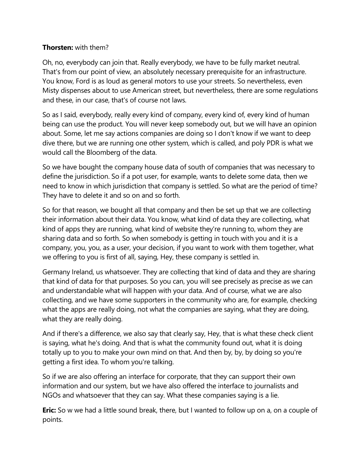## **Thorsten:** with them?

Oh, no, everybody can join that. Really everybody, we have to be fully market neutral. That's from our point of view, an absolutely necessary prerequisite for an infrastructure. You know, Ford is as loud as general motors to use your streets. So nevertheless, even Misty dispenses about to use American street, but nevertheless, there are some regulations and these, in our case, that's of course not laws.

So as I said, everybody, really every kind of company, every kind of, every kind of human being can use the product. You will never keep somebody out, but we will have an opinion about. Some, let me say actions companies are doing so I don't know if we want to deep dive there, but we are running one other system, which is called, and poly PDR is what we would call the Bloomberg of the data.

So we have bought the company house data of south of companies that was necessary to define the jurisdiction. So if a pot user, for example, wants to delete some data, then we need to know in which jurisdiction that company is settled. So what are the period of time? They have to delete it and so on and so forth.

So for that reason, we bought all that company and then be set up that we are collecting their information about their data. You know, what kind of data they are collecting, what kind of apps they are running, what kind of website they're running to, whom they are sharing data and so forth. So when somebody is getting in touch with you and it is a company, you, you, as a user, your decision, if you want to work with them together, what we offering to you is first of all, saying, Hey, these company is settled in.

Germany Ireland, us whatsoever. They are collecting that kind of data and they are sharing that kind of data for that purposes. So you can, you will see precisely as precise as we can and understandable what will happen with your data. And of course, what we are also collecting, and we have some supporters in the community who are, for example, checking what the apps are really doing, not what the companies are saying, what they are doing, what they are really doing.

And if there's a difference, we also say that clearly say, Hey, that is what these check client is saying, what he's doing. And that is what the community found out, what it is doing totally up to you to make your own mind on that. And then by, by, by doing so you're getting a first idea. To whom you're talking.

So if we are also offering an interface for corporate, that they can support their own information and our system, but we have also offered the interface to journalists and NGOs and whatsoever that they can say. What these companies saying is a lie.

**Eric:** So w we had a little sound break, there, but I wanted to follow up on a, on a couple of points.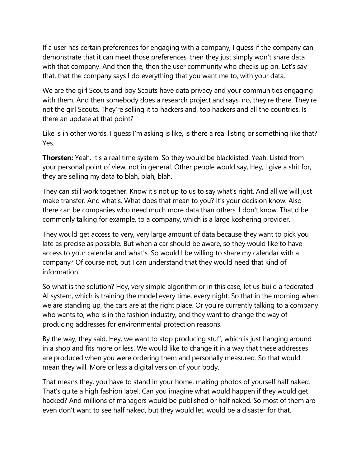If a user has certain preferences for engaging with a company, I guess if the company can demonstrate that it can meet those preferences, then they just simply won't share data with that company. And then the, then the user community who checks up on. Let's say that, that the company says I do everything that you want me to, with your data.

We are the girl Scouts and boy Scouts have data privacy and your communities engaging with them. And then somebody does a research project and says, no, they're there. They're not the girl Scouts. They're selling it to hackers and, top hackers and all the countries. Is there an update at that point?

Like is in other words, I guess I'm asking is like, is there a real listing or something like that? Yes.

**Thorsten:** Yeah. It's a real time system. So they would be blacklisted. Yeah. Listed from your personal point of view, not in general. Other people would say, Hey, I give a shit for, they are selling my data to blah, blah, blah.

They can still work together. Know it's not up to us to say what's right. And all we will just make transfer. And what's. What does that mean to you? It's your decision know. Also there can be companies who need much more data than others. I don't know. That'd be commonly talking for example, to a company, which is a large koshering provider.

They would get access to very, very large amount of data because they want to pick you late as precise as possible. But when a car should be aware, so they would like to have access to your calendar and what's. So would I be willing to share my calendar with a company? Of course not, but I can understand that they would need that kind of information.

So what is the solution? Hey, very simple algorithm or in this case, let us build a federated AI system, which is training the model every time, every night. So that in the morning when we are standing up, the cars are at the right place. Or you're currently talking to a company who wants to, who is in the fashion industry, and they want to change the way of producing addresses for environmental protection reasons.

By the way, they said, Hey, we want to stop producing stuff, which is just hanging around in a shop and fits more or less. We would like to change it in a way that these addresses are produced when you were ordering them and personally measured. So that would mean they will. More or less a digital version of your body.

That means they, you have to stand in your home, making photos of yourself half naked. That's quite a high fashion label. Can you imagine what would happen if they would get hacked? And millions of managers would be published or half naked. So most of them are even don't want to see half naked, but they would let, would be a disaster for that.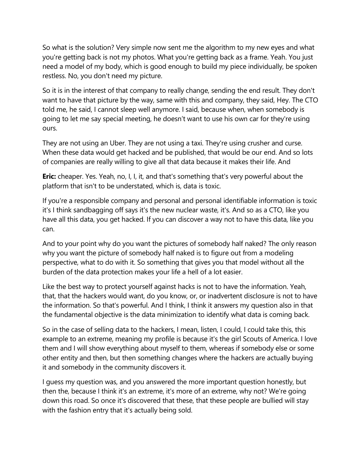So what is the solution? Very simple now sent me the algorithm to my new eyes and what you're getting back is not my photos. What you're getting back as a frame. Yeah. You just need a model of my body, which is good enough to build my piece individually, be spoken restless. No, you don't need my picture.

So it is in the interest of that company to really change, sending the end result. They don't want to have that picture by the way, same with this and company, they said, Hey. The CTO told me, he said, I cannot sleep well anymore. I said, because when, when somebody is going to let me say special meeting, he doesn't want to use his own car for they're using ours.

They are not using an Uber. They are not using a taxi. They're using crusher and curse. When these data would get hacked and be published, that would be our end. And so lots of companies are really willing to give all that data because it makes their life. And

**Eric:** cheaper. Yes. Yeah, no, I, I, it, and that's something that's very powerful about the platform that isn't to be understated, which is, data is toxic.

If you're a responsible company and personal and personal identifiable information is toxic it's I think sandbagging off says it's the new nuclear waste, it's. And so as a CTO, like you have all this data, you get hacked. If you can discover a way not to have this data, like you can.

And to your point why do you want the pictures of somebody half naked? The only reason why you want the picture of somebody half naked is to figure out from a modeling perspective, what to do with it. So something that gives you that model without all the burden of the data protection makes your life a hell of a lot easier.

Like the best way to protect yourself against hacks is not to have the information. Yeah, that, that the hackers would want, do you know, or, or inadvertent disclosure is not to have the information. So that's powerful. And I think, I think it answers my question also in that the fundamental objective is the data minimization to identify what data is coming back.

So in the case of selling data to the hackers, I mean, listen, I could, I could take this, this example to an extreme, meaning my profile is because it's the girl Scouts of America. I love them and I will show everything about myself to them, whereas if somebody else or some other entity and then, but then something changes where the hackers are actually buying it and somebody in the community discovers it.

I guess my question was, and you answered the more important question honestly, but then the, because I think it's an extreme, it's more of an extreme, why not? We're going down this road. So once it's discovered that these, that these people are bullied will stay with the fashion entry that it's actually being sold.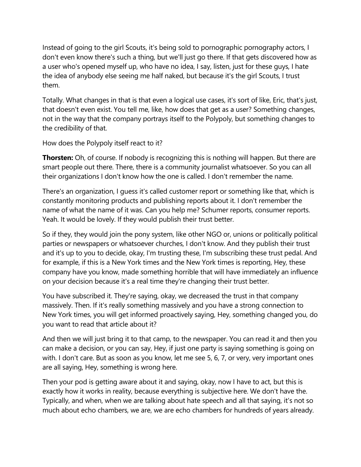Instead of going to the girl Scouts, it's being sold to pornographic pornography actors, I don't even know there's such a thing, but we'll just go there. If that gets discovered how as a user who's opened myself up, who have no idea, I say, listen, just for these guys, I hate the idea of anybody else seeing me half naked, but because it's the girl Scouts, I trust them.

Totally. What changes in that is that even a logical use cases, it's sort of like, Eric, that's just, that doesn't even exist. You tell me, like, how does that get as a user? Something changes, not in the way that the company portrays itself to the Polypoly, but something changes to the credibility of that.

How does the Polypoly itself react to it?

**Thorsten:** Oh, of course. If nobody is recognizing this is nothing will happen. But there are smart people out there. There, there is a community journalist whatsoever. So you can all their organizations I don't know how the one is called. I don't remember the name.

There's an organization, I guess it's called customer report or something like that, which is constantly monitoring products and publishing reports about it. I don't remember the name of what the name of it was. Can you help me? Schumer reports, consumer reports. Yeah. It would be lovely. If they would publish their trust better.

So if they, they would join the pony system, like other NGO or, unions or politically political parties or newspapers or whatsoever churches, I don't know. And they publish their trust and it's up to you to decide, okay, I'm trusting these, I'm subscribing these trust pedal. And for example, if this is a New York times and the New York times is reporting, Hey, these company have you know, made something horrible that will have immediately an influence on your decision because it's a real time they're changing their trust better.

You have subscribed it. They're saying, okay, we decreased the trust in that company massively. Then. If it's really something massively and you have a strong connection to New York times, you will get informed proactively saying, Hey, something changed you, do you want to read that article about it?

And then we will just bring it to that camp, to the newspaper. You can read it and then you can make a decision, or you can say, Hey, if just one party is saying something is going on with. I don't care. But as soon as you know, let me see 5, 6, 7, or very, very important ones are all saying, Hey, something is wrong here.

Then your pod is getting aware about it and saying, okay, now I have to act, but this is exactly how it works in reality, because everything is subjective here. We don't have the. Typically, and when, when we are talking about hate speech and all that saying, it's not so much about echo chambers, we are, we are echo chambers for hundreds of years already.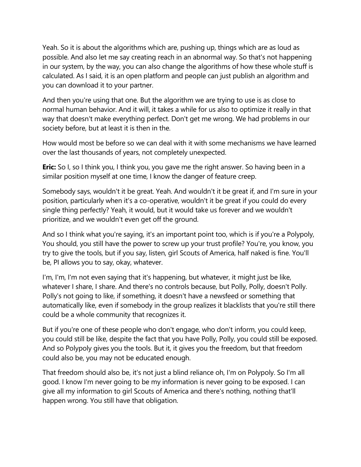Yeah. So it is about the algorithms which are, pushing up, things which are as loud as possible. And also let me say creating reach in an abnormal way. So that's not happening in our system, by the way, you can also change the algorithms of how these whole stuff is calculated. As I said, it is an open platform and people can just publish an algorithm and you can download it to your partner.

And then you're using that one. But the algorithm we are trying to use is as close to normal human behavior. And it will, it takes a while for us also to optimize it really in that way that doesn't make everything perfect. Don't get me wrong. We had problems in our society before, but at least it is then in the.

How would most be before so we can deal with it with some mechanisms we have learned over the last thousands of years, not completely unexpected.

**Eric:** So I, so I think you, I think you, you gave me the right answer. So having been in a similar position myself at one time, I know the danger of feature creep.

Somebody says, wouldn't it be great. Yeah. And wouldn't it be great if, and I'm sure in your position, particularly when it's a co-operative, wouldn't it be great if you could do every single thing perfectly? Yeah, it would, but it would take us forever and we wouldn't prioritize, and we wouldn't even get off the ground.

And so I think what you're saying, it's an important point too, which is if you're a Polypoly, You should, you still have the power to screw up your trust profile? You're, you know, you try to give the tools, but if you say, listen, girl Scouts of America, half naked is fine. You'll be, PI allows you to say, okay, whatever.

I'm, I'm, I'm not even saying that it's happening, but whatever, it might just be like, whatever I share, I share. And there's no controls because, but Polly, Polly, doesn't Polly. Polly's not going to like, if something, it doesn't have a newsfeed or something that automatically like, even if somebody in the group realizes it blacklists that you're still there could be a whole community that recognizes it.

But if you're one of these people who don't engage, who don't inform, you could keep, you could still be like, despite the fact that you have Polly, Polly, you could still be exposed. And so Polypoly gives you the tools. But it, it gives you the freedom, but that freedom could also be, you may not be educated enough.

That freedom should also be, it's not just a blind reliance oh, I'm on Polypoly. So I'm all good. I know I'm never going to be my information is never going to be exposed. I can give all my information to girl Scouts of America and there's nothing, nothing that'll happen wrong. You still have that obligation.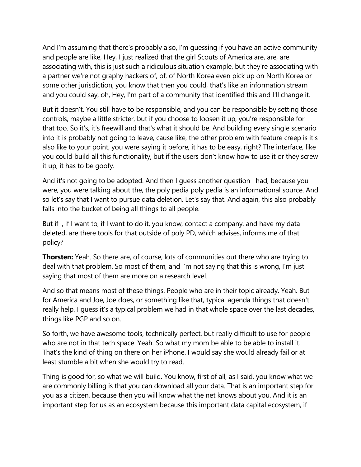And I'm assuming that there's probably also, I'm guessing if you have an active community and people are like, Hey, I just realized that the girl Scouts of America are, are, are associating with, this is just such a ridiculous situation example, but they're associating with a partner we're not graphy hackers of, of, of North Korea even pick up on North Korea or some other jurisdiction, you know that then you could, that's like an information stream and you could say, oh, Hey, I'm part of a community that identified this and I'll change it.

But it doesn't. You still have to be responsible, and you can be responsible by setting those controls, maybe a little stricter, but if you choose to loosen it up, you're responsible for that too. So it's, it's freewill and that's what it should be. And building every single scenario into it is probably not going to leave, cause like, the other problem with feature creep is it's also like to your point, you were saying it before, it has to be easy, right? The interface, like you could build all this functionality, but if the users don't know how to use it or they screw it up, it has to be goofy.

And it's not going to be adopted. And then I guess another question I had, because you were, you were talking about the, the poly pedia poly pedia is an informational source. And so let's say that I want to pursue data deletion. Let's say that. And again, this also probably falls into the bucket of being all things to all people.

But if I, if I want to, if I want to do it, you know, contact a company, and have my data deleted, are there tools for that outside of poly PD, which advises, informs me of that policy?

**Thorsten:** Yeah. So there are, of course, lots of communities out there who are trying to deal with that problem. So most of them, and I'm not saying that this is wrong, I'm just saying that most of them are more on a research level.

And so that means most of these things. People who are in their topic already. Yeah. But for America and Joe, Joe does, or something like that, typical agenda things that doesn't really help, I guess it's a typical problem we had in that whole space over the last decades, things like PGP and so on.

So forth, we have awesome tools, technically perfect, but really difficult to use for people who are not in that tech space. Yeah. So what my mom be able to be able to install it. That's the kind of thing on there on her iPhone. I would say she would already fail or at least stumble a bit when she would try to read.

Thing is good for, so what we will build. You know, first of all, as I said, you know what we are commonly billing is that you can download all your data. That is an important step for you as a citizen, because then you will know what the net knows about you. And it is an important step for us as an ecosystem because this important data capital ecosystem, if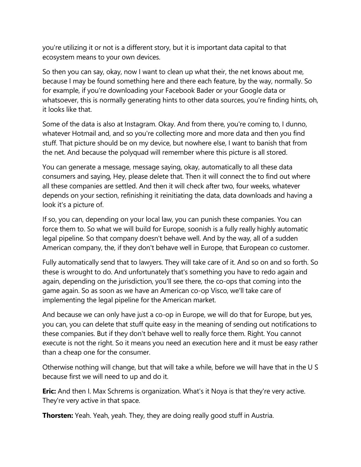you're utilizing it or not is a different story, but it is important data capital to that ecosystem means to your own devices.

So then you can say, okay, now I want to clean up what their, the net knows about me, because I may be found something here and there each feature, by the way, normally. So for example, if you're downloading your Facebook Bader or your Google data or whatsoever, this is normally generating hints to other data sources, you're finding hints, oh, it looks like that.

Some of the data is also at Instagram. Okay. And from there, you're coming to, I dunno, whatever Hotmail and, and so you're collecting more and more data and then you find stuff. That picture should be on my device, but nowhere else, I want to banish that from the net. And because the polyquad will remember where this picture is all stored.

You can generate a message, message saying, okay, automatically to all these data consumers and saying, Hey, please delete that. Then it will connect the to find out where all these companies are settled. And then it will check after two, four weeks, whatever depends on your section, refinishing it reinitiating the data, data downloads and having a look it's a picture of.

If so, you can, depending on your local law, you can punish these companies. You can force them to. So what we will build for Europe, soonish is a fully really highly automatic legal pipeline. So that company doesn't behave well. And by the way, all of a sudden American company, the, if they don't behave well in Europe, that European co customer.

Fully automatically send that to lawyers. They will take care of it. And so on and so forth. So these is wrought to do. And unfortunately that's something you have to redo again and again, depending on the jurisdiction, you'll see there, the co-ops that coming into the game again. So as soon as we have an American co-op Visco, we'll take care of implementing the legal pipeline for the American market.

And because we can only have just a co-op in Europe, we will do that for Europe, but yes, you can, you can delete that stuff quite easy in the meaning of sending out notifications to these companies. But if they don't behave well to really force them. Right. You cannot execute is not the right. So it means you need an execution here and it must be easy rather than a cheap one for the consumer.

Otherwise nothing will change, but that will take a while, before we will have that in the U S because first we will need to up and do it.

**Eric:** And then I. Max Schrems is organization. What's it Noya is that they're very active. They're very active in that space.

**Thorsten:** Yeah. Yeah, yeah. They, they are doing really good stuff in Austria.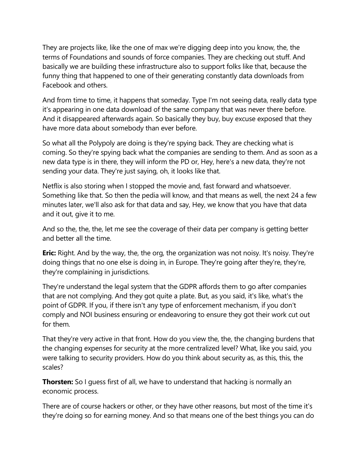They are projects like, like the one of max we're digging deep into you know, the, the terms of Foundations and sounds of force companies. They are checking out stuff. And basically we are building these infrastructure also to support folks like that, because the funny thing that happened to one of their generating constantly data downloads from Facebook and others.

And from time to time, it happens that someday. Type I'm not seeing data, really data type it's appearing in one data download of the same company that was never there before. And it disappeared afterwards again. So basically they buy, buy excuse exposed that they have more data about somebody than ever before.

So what all the Polypoly are doing is they're spying back. They are checking what is coming. So they're spying back what the companies are sending to them. And as soon as a new data type is in there, they will inform the PD or, Hey, here's a new data, they're not sending your data. They're just saying, oh, it looks like that.

Netflix is also storing when I stopped the movie and, fast forward and whatsoever. Something like that. So then the pedia will know, and that means as well, the next 24 a few minutes later, we'll also ask for that data and say, Hey, we know that you have that data and it out, give it to me.

And so the, the, the, let me see the coverage of their data per company is getting better and better all the time.

**Eric:** Right. And by the way, the, the org, the organization was not noisy. It's noisy. They're doing things that no one else is doing in, in Europe. They're going after they're, they're, they're complaining in jurisdictions.

They're understand the legal system that the GDPR affords them to go after companies that are not complying. And they got quite a plate. But, as you said, it's like, what's the point of GDPR. If you, if there isn't any type of enforcement mechanism, if you don't comply and NOI business ensuring or endeavoring to ensure they got their work cut out for them.

That they're very active in that front. How do you view the, the, the changing burdens that the changing expenses for security at the more centralized level? What, like you said, you were talking to security providers. How do you think about security as, as this, this, the scales?

**Thorsten:** So I guess first of all, we have to understand that hacking is normally an economic process.

There are of course hackers or other, or they have other reasons, but most of the time it's they're doing so for earning money. And so that means one of the best things you can do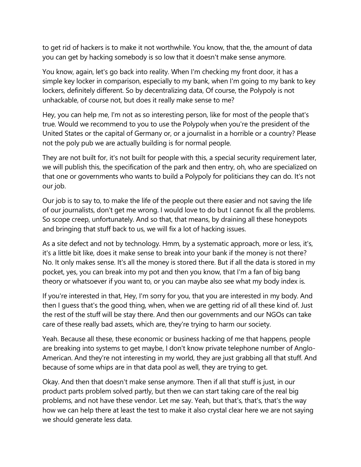to get rid of hackers is to make it not worthwhile. You know, that the, the amount of data you can get by hacking somebody is so low that it doesn't make sense anymore.

You know, again, let's go back into reality. When I'm checking my front door, it has a simple key locker in comparison, especially to my bank, when I'm going to my bank to key lockers, definitely different. So by decentralizing data, Of course, the Polypoly is not unhackable, of course not, but does it really make sense to me?

Hey, you can help me, I'm not as so interesting person, like for most of the people that's true. Would we recommend to you to use the Polypoly when you're the president of the United States or the capital of Germany or, or a journalist in a horrible or a country? Please not the poly pub we are actually building is for normal people.

They are not built for, it's not built for people with this, a special security requirement later, we will publish this, the specification of the park and then entry, oh, who are specialized on that one or governments who wants to build a Polypoly for politicians they can do. It's not our job.

Our job is to say to, to make the life of the people out there easier and not saving the life of our journalists, don't get me wrong. I would love to do but I cannot fix all the problems. So scope creep, unfortunately. And so that, that means, by draining all these honeypots and bringing that stuff back to us, we will fix a lot of hacking issues.

As a site defect and not by technology. Hmm, by a systematic approach, more or less, it's, it's a little bit like, does it make sense to break into your bank if the money is not there? No. It only makes sense. It's all the money is stored there. But if all the data is stored in my pocket, yes, you can break into my pot and then you know, that I'm a fan of big bang theory or whatsoever if you want to, or you can maybe also see what my body index is.

If you're interested in that, Hey, I'm sorry for you, that you are interested in my body. And then I guess that's the good thing, when, when we are getting rid of all these kind of. Just the rest of the stuff will be stay there. And then our governments and our NGOs can take care of these really bad assets, which are, they're trying to harm our society.

Yeah. Because all these, these economic or business hacking of me that happens, people are breaking into systems to get maybe, I don't know private telephone number of Anglo-American. And they're not interesting in my world, they are just grabbing all that stuff. And because of some whips are in that data pool as well, they are trying to get.

Okay. And then that doesn't make sense anymore. Then if all that stuff is just, in our product parts problem solved partly, but then we can start taking care of the real big problems, and not have these vendor. Let me say. Yeah, but that's, that's, that's the way how we can help there at least the test to make it also crystal clear here we are not saying we should generate less data.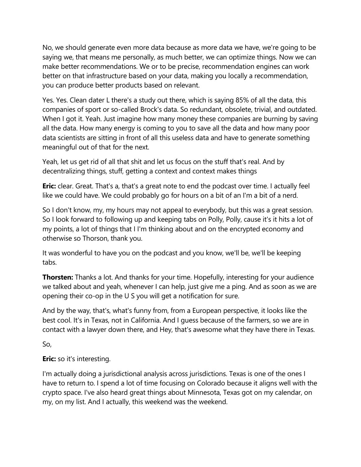No, we should generate even more data because as more data we have, we're going to be saying we, that means me personally, as much better, we can optimize things. Now we can make better recommendations. We or to be precise, recommendation engines can work better on that infrastructure based on your data, making you locally a recommendation, you can produce better products based on relevant.

Yes. Yes. Clean dater L there's a study out there, which is saying 85% of all the data, this companies of sport or so-called Brock's data. So redundant, obsolete, trivial, and outdated. When I got it. Yeah. Just imagine how many money these companies are burning by saving all the data. How many energy is coming to you to save all the data and how many poor data scientists are sitting in front of all this useless data and have to generate something meaningful out of that for the next.

Yeah, let us get rid of all that shit and let us focus on the stuff that's real. And by decentralizing things, stuff, getting a context and context makes things

**Eric:** clear. Great. That's a, that's a great note to end the podcast over time. I actually feel like we could have. We could probably go for hours on a bit of an I'm a bit of a nerd.

So I don't know, my, my hours may not appeal to everybody, but this was a great session. So I look forward to following up and keeping tabs on Polly, Polly, cause it's it hits a lot of my points, a lot of things that I I'm thinking about and on the encrypted economy and otherwise so Thorson, thank you.

It was wonderful to have you on the podcast and you know, we'll be, we'll be keeping tabs.

**Thorsten:** Thanks a lot. And thanks for your time. Hopefully, interesting for your audience we talked about and yeah, whenever I can help, just give me a ping. And as soon as we are opening their co-op in the U S you will get a notification for sure.

And by the way, that's, what's funny from, from a European perspective, it looks like the best cool. It's in Texas, not in California. And I guess because of the farmers, so we are in contact with a lawyer down there, and Hey, that's awesome what they have there in Texas.

So,

**Eric:** so it's interesting.

I'm actually doing a jurisdictional analysis across jurisdictions. Texas is one of the ones I have to return to. I spend a lot of time focusing on Colorado because it aligns well with the crypto space. I've also heard great things about Minnesota, Texas got on my calendar, on my, on my list. And I actually, this weekend was the weekend.